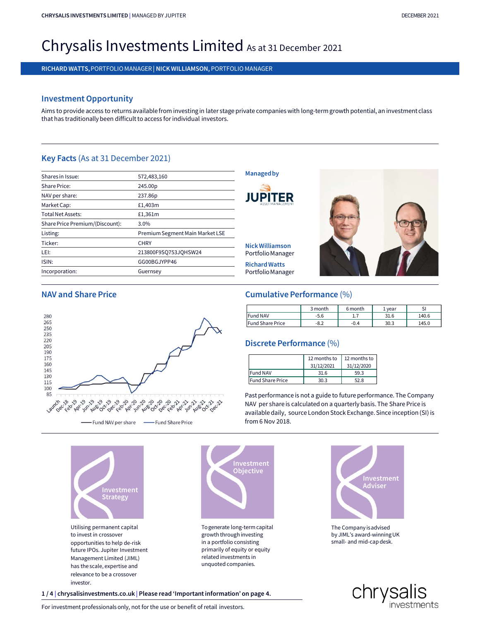# CHRYSALIS INVESTMENTS LIMITED | MANAGED BY JUPITER<br>Christian December 2021 chrysalis investments limited | managed by jupiter<br>Chrysalis Investments Limited As at 31 December 2021<br>richard watts, portfolio manager | nick williamson, portfolio manager CHRYSALIS INVESTMENTS LIMITED | MANAGED BYJUPITER<br>Chrysalis Investments limited | Manager | Nick Williamson, portfolio manager<br>Richard Watts, portfolio manager | Nick Williamson, portfolio manager<br>Richard watts, portfolio Chrysalis Investments Limited as at 31 December 2<br>RICHARD WATTS, PORTFOLIO MANAGER| NICK WILLIAMSON, PORTFOLIO MANAGER<br>Investment Opportunity<br>Aims to provide access to returns available from investing in later stage privat

# Investment Opportunity

Chrysalis Investiment and Managebev Jupiter<br>Chrysalis Investment Constrainers and access to return available from investing in later stage private companies with long-term growth potential, an investment class<br>Three that h RICHARD WATTS, PORTFOLIO MANAGER | NICK WILLIAMSON, PORTFOLIO MANAGER<br>
Investment Opportunity<br>
Aims to provide access to returns available from investing in later stage private compa<br>
that has traditionally been difficult

| <b>Investment Opportunity</b>      | Aims to provide access to returns available from investing in later stage private companies with long-term growth potential, an inve<br>that has traditionally been difficult to access for individual investors. |                                   |         |         |        |
|------------------------------------|-------------------------------------------------------------------------------------------------------------------------------------------------------------------------------------------------------------------|-----------------------------------|---------|---------|--------|
| Key Facts (As at 31 December 2021) |                                                                                                                                                                                                                   |                                   |         |         |        |
| Shares in Issue:                   | 572,483,160                                                                                                                                                                                                       | <b>Managed by</b>                 |         |         |        |
| <b>Share Price:</b>                | 245.00p                                                                                                                                                                                                           |                                   |         |         |        |
| NAV per share:                     | 237.86p                                                                                                                                                                                                           |                                   |         |         |        |
| Market Cap:                        | £1,403m                                                                                                                                                                                                           |                                   |         |         |        |
| <b>Total Net Assets:</b>           | £1,361m                                                                                                                                                                                                           |                                   |         |         |        |
| Share Price Premium/(Discount):    | 3.0%                                                                                                                                                                                                              |                                   |         |         |        |
| Listing:                           | Premium Segment Main Market LSE                                                                                                                                                                                   |                                   |         |         |        |
| Ticker:                            | <b>CHRY</b>                                                                                                                                                                                                       | <b>Nick Williamson</b>            |         |         |        |
| LEI:                               | 213800F9SQ753JQHSW24                                                                                                                                                                                              | Portfolio Manager                 |         |         |        |
| ISIN:                              | GG00BGJYPP46                                                                                                                                                                                                      | <b>Richard Watts</b>              |         |         |        |
| Incorporation:                     | Guernsey                                                                                                                                                                                                          | Portfolio Manager                 |         |         |        |
| <b>NAV and Share Price</b>         |                                                                                                                                                                                                                   | <b>Cumulative Performance (%)</b> |         |         |        |
|                                    |                                                                                                                                                                                                                   |                                   | 3 month | 6 month | 1 year |
| 280                                |                                                                                                                                                                                                                   | <b>Fund NAV</b>                   | $-5.6$  | 1.7     | 31.6   |
| 265                                |                                                                                                                                                                                                                   | <b>Fund Share Price</b>           | -82     | -04     | 30 S   |





Utilising permanent capital to invest in crossover opportunities to help de-risk future IPOs. Jupiter Investment Management Limited (JIML) Investment<br>
Strategy<br>
Utilising permanent capital<br>
Co invest in crossover<br>
opportunities to help de-risk<br>
future IPOs. Jupiter Investment<br>
Management Limited (JIML)<br>
has the scale, expertise and<br>
relevance to be a crossove relevance to be a crossover investor. Utilising permanent capital<br>
to invest in crossover<br>
opportunities to help de-risk<br>
future IPOs. Jupiter Investment<br>
future IPOs. Jupiter Investment<br>
Management Limited (JIML)<br>
has the scale, expertise and<br>
relevance to b For investment professionals only, not for the use or benefit of retail investors.<br>
For investment and  $\frac{1}{4}$  chromating the use or benefit of retail in a perform of the use or benefit of retail investors.<br>
The construc



To generate long-term capital in a portfolio consisting primarily of equity or equity related investments in



|                                 | 3 month      | 6 month      | 1 year | SI    |
|---------------------------------|--------------|--------------|--------|-------|
| <b>Fund NAV</b>                 | $-5.6$       | 1.7          | 31.6   | 140.6 |
| <b>Fund Share Price</b>         | $-8.2$       | $-0.4$       | 30.3   | 145.0 |
|                                 |              |              |        |       |
|                                 | 12 months to | 12 months to |        |       |
| <b>Discrete Performance (%)</b> | 31/12/2021   | 31/12/2020   |        |       |
| <b>Fund NAV</b>                 | 31.6         | 59.3         |        |       |

# Discrete Performance (%)

|                         | 12 months to $\vert$ 12 months to |            |
|-------------------------|-----------------------------------|------------|
|                         | 31/12/2021                        | 31/12/2020 |
| Fund NAV                | 31.6                              | 59.3       |
| <b>Fund Share Price</b> | 30.3                              | 52.8       |

Past performance is not a guide to future performance. The Company NAV per share is calculated on a quarterly basis. The Share Price is available daily, source London Stock Exchange. Since inception (SI) is Discrete Performance (%)<br>
12 months to 12 months to<br>
31/12/2021 31/12/2020<br>
Fund NAV 31.6 59.3<br>
Fund Share Price 30.3 52.8<br>
Past performance is not a guide to future performance. Th<br>
NAV per share is calculated on a quarte



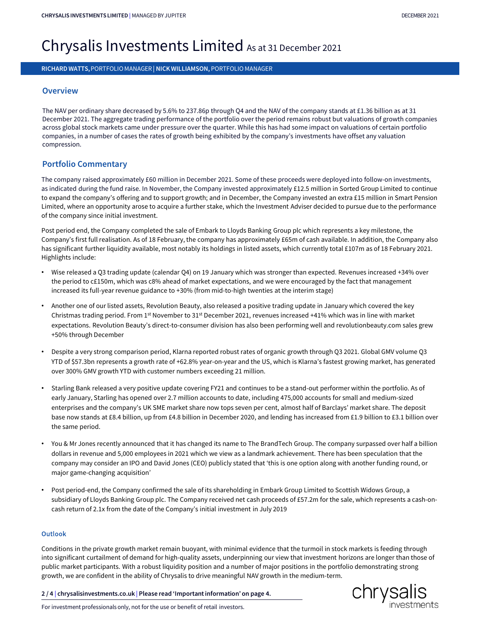# CHRYSALIS INVESTMENTS LIMITED | MANAGED BY JUPITER<br>Christian December 2021 chrysalis investments limited | managed by jupiter<br>Chrysalis Investments Limited As at 31 December 2021<br>Richard Watts, portfolio manager | nick williamson, portfolio manager CHRYSALIS INVESTMENTS LIMITED | MANAGED BY JUPITER<br>Chrysalis Investments Limited & S at 31 December 2021<br>RICHARD WATTS, PORTFOLIO MANAGER | NICK WILLIAMSON, PORTFOLIO MANAGER

# **Overview**

The NAV per ordinary share decreased by 5.6% to 237.86p through Q4 and the NAV of the company stands at £1.36 billion as at 31 December 2021. The aggregate trading performance of the portfolio over the period remains robust but valuations of growth companies across global stock markets came under pressure over the quarter. While this has had some impact on valuations of certain portfolio companies, in a number of cases the rates of growth being exhibited by the company's investments have offset any valuation compression.

# Portfolio Commentary

The company raised approximately £60 million in December 2021. Some of these proceeds were deployed into follow-on investments, as indicated during the fund raise. In November, the Company invested approximately £12.5 million in Sorted Group Limited to continue to expand the company's offering and to support growth; and in December, the Company invested an extra £15 million in Smart Pension Limited, where an opportunity arose to acquire a further stake, which the Investment Adviser decided to pursue due to the performance of the company since initial investment. **Portfolio Commentary**<br>The company raised approximately £60 million in December 2021. Some of these proceeds were deployed into follow-on investments,<br>as indicated during the fund raise. In November, the Company invested a

Post period end, the Company completed the sale of Embark to Lloyds Banking Group plc which represents a key milestone, the Company's first full realisation. As of 18 February, the company has approximately £65m of cash available. In addition, the Company also Highlights include:

- Wise released a Q3 trading update (calendar Q4) on 19 January which was stronger than expected. Revenues increased +34% over the period to c£150m, which was c8% ahead of market expectations, and we were encouraged by the fact that management increased its full-year revenue guidance to +30% (from mid-to-high twenties at the interim stage)
- Another one of our listed assets, Revolution Beauty, also released a positive trading update in January which covered the key Christmas trading period. From 1st November to 31st December 2021, revenues increased +41% which was in line with market expectations. Revolution Beauty's direct-to-consumer division has also been performing well and revolutionbeauty.com sales grew +50% through December
- Despite a very strong comparison period, Klarna reported robust rates of organic growth through Q3 2021. Global GMV volume Q3 YTD of \$57.3bn represents a growth rate of +62.8% year-on-year and the US, which is Klarna's fastest growing market, has generated over 300% GMV growth YTD with customer numbers exceeding 21 million.
- Starling Bank released a very positive update covering FY21 and continues to be a stand-out performer within the portfolio. As of early January, Starling has opened over 2.7 million accounts to date, including 475,000 accounts for small and medium-sized enterprises and the company's UK SME market share now tops seven per cent, almost half of Barclays' market share. The deposit base now stands at £8.4 billion, up from £4.8 billion in December 2020, and lending has increased from £1.9 billion to £3.1 billion over the same period. • Despite a very strong comparison period, Klarna reported robust rates of organic growth through Q3 2021. Global GMV volume Q3<br>
YTD of \$57.3bn represents a growth rate of +62.8% year-on-year and the US, which is Klarna's
- dollars in revenue and 5,000 employees in 2021 which we view as a landmark achievement. There has been speculation that the company may consider an IPO and David Jones (CEO) publicly stated that 'this is one option along with another funding round, or major game-changing acquisition'
- Post period-end, the Company confirmed the sale of its shareholding in Embark Group Limited to Scottish Widows Group, a subsidiary of Lloyds Banking Group plc. The Company received net cash proceeds of £57.2m for the sale, which represents a cash-oncash return of 2.1x from the date of the Company's initial investment in July 2019

# **Outlook**

Conditions in the private growth market remain buoyant, with minimal evidence that the turmoil in stock markets is feeding through into significant curtailment of demand for high-quality assets, underpinning our view that investment horizons are longer than those of public market participants. With a robust liquidity position and a number of major positions in the portfolio demonstrating strong growth, we are confident in the ability of Chrysalis to drive meaningful NAV growth in the medium-term. subsidiary of Lloyds Banking Group plc. The Company received net cash proceeds of £57.2m for the sale, which represe<br>
cash return of 2.1x from the date of the Company's initial investment in July 2019<br>
Outlook<br>
Conditions For investment professionals only, not for the use or benefit of retail investors.<br>For investment professionals in the private growth market remain buoyant, with minimal evidence that the turmoil in stociation sin the priv



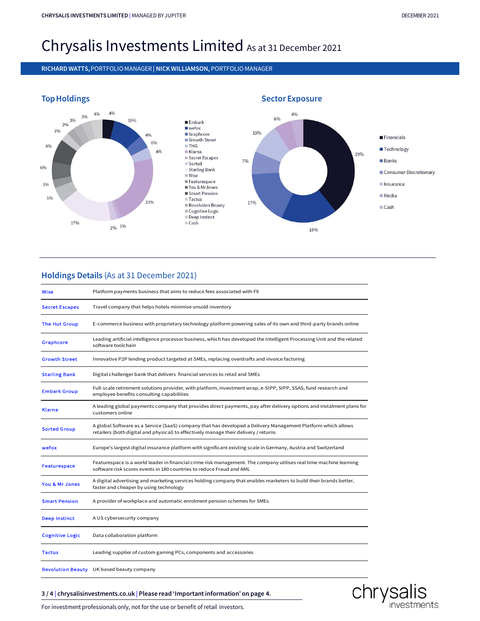# CHRYSALIS INVESTMENTS LIMITED | MANAGED BY JUPITER<br>Christian December 2021 chrysalis investments limited | managed by jupiter<br>Chrysalis Investments Limited As at 31 December 2021<br>Richard Watts, portfolio manager | nick williamson, portfolio manager CHRYSALIS INVESTMENTS LIMITED | MANAGED BYJUPITER<br>Chrysalis Investments Limited As at 31 December 2021<br>RICHARD WATTS, PORTFOLIO MANAGER | NICK WILLIAMSON, PORTFOLIO MANAGER<br>Ton Usediance



# Holdings Details (As at 31 December 2021)

| Wise                   | Platform payments business that aims to reduce fees associated with FX                                                                                                                               |  |  |  |
|------------------------|------------------------------------------------------------------------------------------------------------------------------------------------------------------------------------------------------|--|--|--|
| <b>Secret Escapes</b>  | Travel company that helps hotels minimise unsold inventory                                                                                                                                           |  |  |  |
| The Hut Group          | E-commerce business with proprietary technology platform powering sales of its own and third-party brands online                                                                                     |  |  |  |
| Graphcore              | Leading artificial intelligence processor business, which has developed the Intelligent Processing Unit and the related<br>software toolchain                                                        |  |  |  |
| <b>Growth Street</b>   | Innovative P2P lending product targeted at SMEs, replacing overdrafts and invoice factoring                                                                                                          |  |  |  |
| <b>Starling Bank</b>   | Digital challenger bank that delivers financial services to retail and SMEs                                                                                                                          |  |  |  |
| <b>Embark Group</b>    | Full-scale retirement solutions provider, with platform, investment wrap, e-SIPP, SIPP, SSAS, fund research and<br>employee benefits consulting capabilities                                         |  |  |  |
| <b>Klarna</b>          | A leading global payments company that provides direct payments, pay after delivery options and instalment plans for<br>customers online                                                             |  |  |  |
| <b>Sorted Group</b>    | A global Software as a Service (SaaS) company that has developed a Delivery Management Platform which allows<br>retailers (both digital and physical) to effectively manage their delivery / returns |  |  |  |
| wefox                  | Europe's largest digital insurance platform with significant existing scale in Germany, Austria and Switzerland                                                                                      |  |  |  |
| <b>Featurespace</b>    | Featurespace is a world leader in financial crime risk management. The company utilises real time machine learning<br>software risk scores events in 180 countries to reduce Fraud and AML           |  |  |  |
| You & Mr Jones         | A digital advertising and marketing services holding company that enables marketers to build their brands better,<br>faster and cheaper by using technology                                          |  |  |  |
| <b>Smart Pension</b>   | A provider of workplace and automatic enrolment pension schemes for SMEs                                                                                                                             |  |  |  |
| <b>Deep Instinct</b>   | A US cybersecurity company                                                                                                                                                                           |  |  |  |
| <b>Cognitive Logic</b> | Data collaboration platform                                                                                                                                                                          |  |  |  |
| <b>Tactus</b>          | Leading supplier of custom gaming PCs, components and accessories                                                                                                                                    |  |  |  |
|                        | <b>Revolution Beauty</b> UK based beauty company                                                                                                                                                     |  |  |  |
|                        | 3/4 chrysalisinvestments.co.uk Please read 'Important information' on page 4.                                                                                                                        |  |  |  |
|                        | For investment professionals only, not for the use or benefit of retail investors.                                                                                                                   |  |  |  |